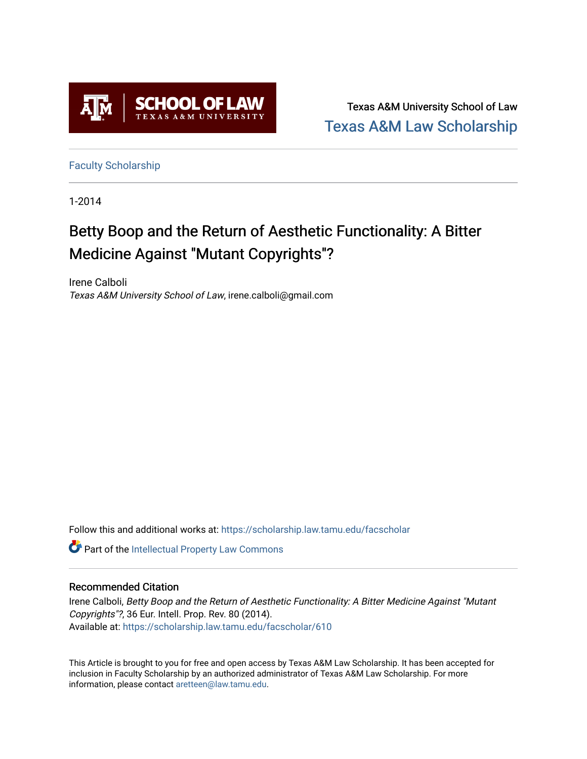

Texas A&M University School of Law [Texas A&M Law Scholarship](https://scholarship.law.tamu.edu/) 

[Faculty Scholarship](https://scholarship.law.tamu.edu/facscholar)

1-2014

## Betty Boop and the Return of Aesthetic Functionality: A Bitter Medicine Against "Mutant Copyrights"?

Irene Calboli Texas A&M University School of Law, irene.calboli@gmail.com

Follow this and additional works at: [https://scholarship.law.tamu.edu/facscholar](https://scholarship.law.tamu.edu/facscholar?utm_source=scholarship.law.tamu.edu%2Ffacscholar%2F610&utm_medium=PDF&utm_campaign=PDFCoverPages) 

Part of the [Intellectual Property Law Commons](http://network.bepress.com/hgg/discipline/896?utm_source=scholarship.law.tamu.edu%2Ffacscholar%2F610&utm_medium=PDF&utm_campaign=PDFCoverPages) 

#### Recommended Citation

Irene Calboli, Betty Boop and the Return of Aesthetic Functionality: A Bitter Medicine Against "Mutant Copyrights"?, 36 Eur. Intell. Prop. Rev. 80 (2014). Available at: [https://scholarship.law.tamu.edu/facscholar/610](https://scholarship.law.tamu.edu/facscholar/610?utm_source=scholarship.law.tamu.edu%2Ffacscholar%2F610&utm_medium=PDF&utm_campaign=PDFCoverPages)

This Article is brought to you for free and open access by Texas A&M Law Scholarship. It has been accepted for inclusion in Faculty Scholarship by an authorized administrator of Texas A&M Law Scholarship. For more information, please contact [aretteen@law.tamu.edu](mailto:aretteen@law.tamu.edu).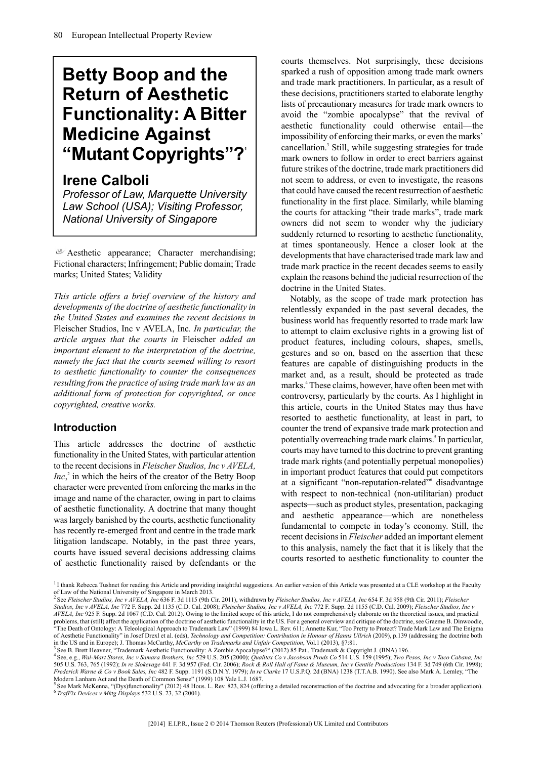# **Betty Boop and the Return of Aesthetic Functionality: A Bitter Medicine Against "Mutant Copyrights"?<sup>1</sup>**

### **Irene Calboli**

*Professor of Law, Marquette University Law School (USA); Visiting Professor, National University of Singapore*

 $\sigma$  Aesthetic appearance; Character merchandising; Fictional characters; Infringement; Public domain; Trade marks; United States; Validity

*This article offers a brief overview of the history and developments of the doctrine of aesthetic functionality in the United States and examines the recent decisions in* Fleischer Studios, Inc v AVELA, Inc*. In particular, the article argues that the courts in* Fleischer *added an important element to the interpretation of the doctrine, namely the fact that the courts seemed willing to resort to aesthetic functionality to counter the consequences resulting from the practice of using trade mark law as an additional form of protection for copyrighted, or once copyrighted, creative works.*

#### **Introduction**

This article addresses the doctrine of aesthetic functionality in the United States, with particular attention to the recent decisions in *Fleischer Studios, Inc v AVELA, Inc*,<sup>2</sup> in which the heirs of the creator of the Betty Boop character were prevented from enforcing the marks in the image and name of the character, owing in part to claims of aesthetic functionality. A doctrine that many thought was largely banished by the courts, aesthetic functionality has recently re-emerged front and centre in the trade mark litigation landscape. Notably, in the past three years, courts have issued several decisions addressing claims of aesthetic functionality raised by defendants or the courts themselves. Not surprisingly, these decisions sparked a rush of opposition among trade mark owners and trade mark practitioners. In particular, as a result of these decisions, practitioners started to elaborate lengthy lists of precautionary measures for trade mark owners to avoid the "zombie apocalypse" that the revival of aesthetic functionality could otherwise entail—the impossibility of enforcing their marks, or even the marks' cancellation.<sup>3</sup> Still, while suggesting strategies for trade mark owners to follow in order to erect barriers against future strikes of the doctrine, trade mark practitioners did not seem to address, or even to investigate, the reasons that could have caused the recent resurrection of aesthetic functionality in the first place. Similarly, while blaming the courts for attacking "their trade marks", trade mark owners did not seem to wonder why the judiciary suddenly returned to resorting to aesthetic functionality, at times spontaneously. Hence a closer look at the developments that have characterised trade mark law and trade mark practice in the recent decades seems to easily explain the reasons behind the judicial resurrection of the doctrine in the United States.

Notably, as the scope of trade mark protection has relentlessly expanded in the past several decades, the business world has frequently resorted to trade mark law to attempt to claim exclusive rights in a growing list of product features, including colours, shapes, smells, gestures and so on, based on the assertion that these features are capable of distinguishing products in the market and, as a result, should be protected as trade marks.<sup>4</sup> These claims, however, have often been met with controversy, particularly by the courts. As I highlight in this article, courts in the United States may thus have resorted to aesthetic functionality, at least in part, to counter the trend of expansive trade mark protection and potentially overreaching trade mark claims.<sup>5</sup> In particular, courts may have turned to this doctrine to prevent granting trade mark rights (and potentially perpetual monopolies) in important product features that could put competitors at a significant "non-reputation-related" disadvantage with respect to non-technical (non-utilitarian) product aspects—such as product styles, presentation, packaging and aesthetic appearance—which are nonetheless fundamental to compete in today's economy. Still, the recent decisions in *Fleischer* added an important element to this analysis, namely the fact that it is likely that the courts resorted to aesthetic functionality to counter the

<sup>&</sup>lt;sup>1</sup> I thank Rebecca Tushnet for reading this Article and providing insightful suggestions. An earlier version of this Article was presented at a CLE workshop at the Faculty of Law of the National University of Singapore in March 2013.<br><sup>2</sup> See *Fleischer Studios, Inc v AVELA, Inc* 636 F. 3d 1115 (9th Cir. 2011), withdrawn by *Fleischer Studios, Inc v AVELA, Inc* 654 F. 3d 958 (9th Cir. 2011);

*Studios, Inc v AVELA, Inc* 772 F. Supp. 2d 1135 (C.D. Cal. 2008); *Fleischer Studios, Inc v AVELA, Inc* 772 F. Supp. 2d 1155 (C.D. Cal. 2009); *Fleischer Studios, Inc v AVELA, Inc* 925 F. Supp. 2d 1067 (C.D. Cal. 2012). Owing to the limited scope of this article, I do not comprehensively elaborate on the theoretical issues, and practical problems, that (still) affect the application of the doctrine of aesthetic functionality in the US. For a general overview and critique of the doctrine, see Graeme B. Dinwoodie,<br>"The Death of Ontology: A Teleological Appro

of Aesthetic Functionality" in Josef Drexl et al. (eds), *Technology and Competition: Contribution in Honour of Hanns Ullrich* (2009), p.139 (addressing the doctrine both in the US and in Europe); J. Thomas McCarthy, *McCarthy on Trademarks and Unfair Competition*, Vol.1 (2013), §7:81. 3 See B. Brett Heavner, "Trademark Aesthetic Functionality: A Zombie Apocalypse?" (2012) 85 Pat., Trademark & Copyright J. (BNA) 196..

<sup>4</sup> See, e.g., *Wal-Mart Stores, Inc v Samara Brothers, Inc* 529 U.S. 205 (2000); *Qualitex Co v Jacobson Prods Co* 514 U.S. 159 (1995); *Two Pesos, Inc v Taco Cabana, Inc*

<sup>505</sup> U.S. 763, 765 (1992); *In re Slokevage* 441 F. 3d 957 (Fed. Cir. 2006); *Rock & Roll Hall of Fame & Museum, Inc v Gentile Productions* 134 F. 3d 749 (6th Cir. 1998); *Frederick Warne & Co v Book Sales, Inc* 482 F. Supp. 1191 (S.D.N.Y. 1979); *In re Clarke* 17 U.S.P.Q. 2d (BNA) 1238 (T.T.A.B. 1990). See also Mark A. Lemley, "The Modern Lanham Act and the Death of Common Sense" (1999) 108 Yale L.J. 1687.<br><sup>5</sup> See Mark McKenna, "Ove)functionality" (2012) 48 Hous J., Boy, 823, 824 (offer

See Mark McKenna, "(Dys)functionality" (2012) 48 Hous. L. Rev. 823, 824 (offering a detailed reconstruction of the doctrine and advocating for a broader application). 6 *TrafFix Devices v Mktg Displays* 532 U.S. 23, 32 (2001).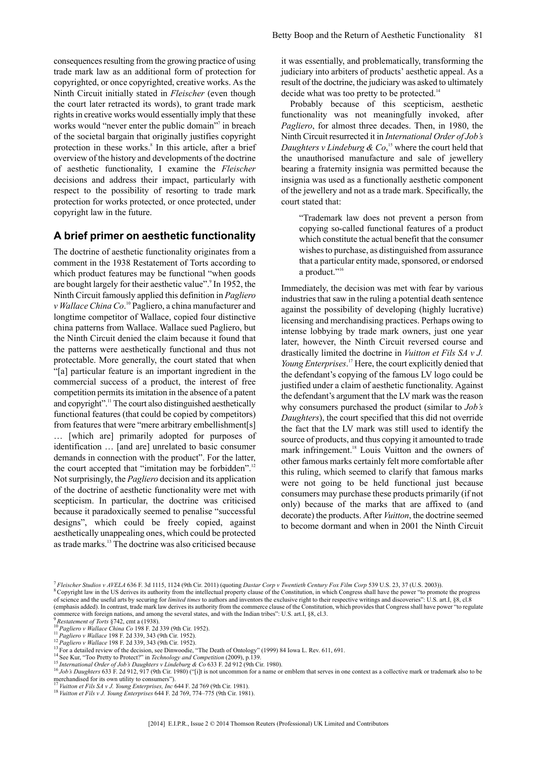consequences resulting from the growing practice of using trade mark law as an additional form of protection for copyrighted, or once copyrighted, creative works. As the Ninth Circuit initially stated in *Fleischer* (even though the court later retracted its words), to grant trade mark rights in creative works would essentially imply that these works would "never enter the public domain"<sup>7</sup> in breach of the societal bargain that originally justifies copyright protection in these works.<sup>8</sup> In this article, after a brief overview of the history and developments of the doctrine of aesthetic functionality, I examine the *Fleischer* decisions and address their impact, particularly with respect to the possibility of resorting to trade mark protection for works protected, or once protected, under copyright law in the future.

#### **A brief primer on aesthetic functionality**

The doctrine of aesthetic functionality originates from a comment in the 1938 Restatement of Torts according to which product features may be functional "when goods" are bought largely for their aesthetic value".<sup>9</sup> In 1952, the Ninth Circuit famously applied this definition in *Pagliero* v Wallace China Co.<sup>10</sup> Pagliero, a china manufacturer and longtime competitor of Wallace, copied four distinctive china patterns from Wallace. Wallace sued Pagliero, but the Ninth Circuit denied the claim because it found that the patterns were aesthetically functional and thus not protectable. More generally, the court stated that when "[a] particular feature is an important ingredient in the commercial success of a product, the interest of free competition permits its imitation in the absence of a patent and copyright".<sup>11</sup> The court also distinguished aesthetically functional features (that could be copied by competitors) from features that were "mere arbitrary embellishment[s] … [which are] primarily adopted for purposes of identification … [and are] unrelated to basic consumer demands in connection with the product". For the latter, the court accepted that "imitation may be forbidden".<sup>12</sup> Not surprisingly, the *Pagliero* decision and its application of the doctrine of aesthetic functionality were met with scepticism. In particular, the doctrine was criticised because it paradoxically seemed to penalise "successful designs", which could be freely copied, against aesthetically unappealing ones, which could be protected as trade marks.<sup>13</sup> The doctrine was also criticised because

it was essentially, and problematically, transforming the judiciary into arbiters of products' aesthetic appeal. As a result of the doctrine, the judiciary was asked to ultimately decide what was too pretty to be protected.<sup>14</sup>

Probably because of this scepticism, aesthetic functionality was not meaningfully invoked, after *Pagliero*, for almost three decades. Then, in 1980, the Ninth Circuit resurrected it in *International Order of Job's* Daughters v Lindeburg  $\&$  Co,<sup>15</sup> where the court held that the unauthorised manufacture and sale of jewellery bearing a fraternity insignia was permitted because the insignia was used as a functionally aesthetic component of the jewellery and not as a trade mark. Specifically, the court stated that:

"Trademark law does not prevent a person from copying so-called functional features of a product which constitute the actual benefit that the consumer wishes to purchase, as distinguished from assurance that a particular entity made, sponsored, or endorsed a product."<sup>16</sup>

Immediately, the decision was met with fear by various industries that saw in the ruling a potential death sentence against the possibility of developing (highly lucrative) licensing and merchandising practices. Perhaps owing to intense lobbying by trade mark owners, just one year later, however, the Ninth Circuit reversed course and drastically limited the doctrine in *Vuitton et Fils SA v J. Young Enterprises*. <sup>17</sup> Here, the court explicitly denied that the defendant's copying of the famous LV logo could be justified under a claim of aesthetic functionality. Against the defendant's argument that the LV mark was the reason why consumers purchased the product (similar to *Job's Daughters*), the court specified that this did not override the fact that the LV mark was still used to identify the source of products, and thus copying it amounted to trade mark infringement.<sup>18</sup> Louis Vuitton and the owners of other famous marks certainly felt more comfortable after this ruling, which seemed to clarify that famous marks were not going to be held functional just because consumers may purchase these products primarily (if not only) because of the marks that are affixed to (and decorate) the products. After *Vuitton*, the doctrine seemed to become dormant and when in 2001 the Ninth Circuit

<sup>7</sup> *Fleischer Studios v AVELA* 636 F. 3d 1115, 1124 (9th Cir. 2011) (quoting *Dastar Corp v Twentieth Century Fox Film Corp* 539 U.S. 23, 37 (U.S. 2003)).

<sup>&</sup>lt;sup>8</sup> Copyright law in the US derives its authority from the intellectual property clause of the Constitution, in which Congress shall have the power "to promote the progress of science and the useful arts by securing for *limited times* to authors and inventors the exclusive right to their respective writings and discoveries": U.S. art.I, §8, cl.8 (emphasis added). In contrast, trade mark law derives its authority from the commerce clause of the Constitution, which provides that Congress shall have power "to regulate commerce with foreign nations, and among the several states, and with the Indian tribes": U.S. art.I, §8, cl.3. <sup>9</sup> *Restatement of Torts* §742, cmt a (1938).

<sup>10</sup> *Pagliero v Wallace China Co* 198 F. 2d 339 (9th Cir. 1952).

<sup>11</sup> *Pagliero v Wallace* 198 F. 2d 339, 343 (9th Cir. 1952).

<sup>&</sup>lt;sup>12</sup> *Pagliero v Wallace* 198 F. 2d 339, 343 (9th Cir. 1952).

<sup>&</sup>lt;sup>13</sup> For a detailed review of the decision, see Dinwoodie, "The Death of Ontology" (1999) 84 Iowa L. Rev. 611, 691.

<sup>&</sup>lt;sup>14</sup> See Kur, "Too Pretty to Protect?" in *Technology and Competition* (2009), p.139.

<sup>15</sup> *International Order of Job's Daughters v Lindeburg & Co* 633 F. 2d 912 (9th Cir. 1980).

<sup>&</sup>lt;sup>16</sup> Job's Daughters 633 F. 2d 912, 917 (9th Cir. 1980) ("[i]t is not uncommon for a name or emblem that serves in one context as a collective mark or trademark also to be merchandised for its own utility to consumers"). <sup>17</sup> *Vuitton et Fils SA v J. Young Enterprises, Inc* 644 F. 2d 769 (9th Cir. 1981).

<sup>18</sup> *Vuitton et Fils v J. Young Enterprises* 644 F. 2d 769, 774–775 (9th Cir. 1981).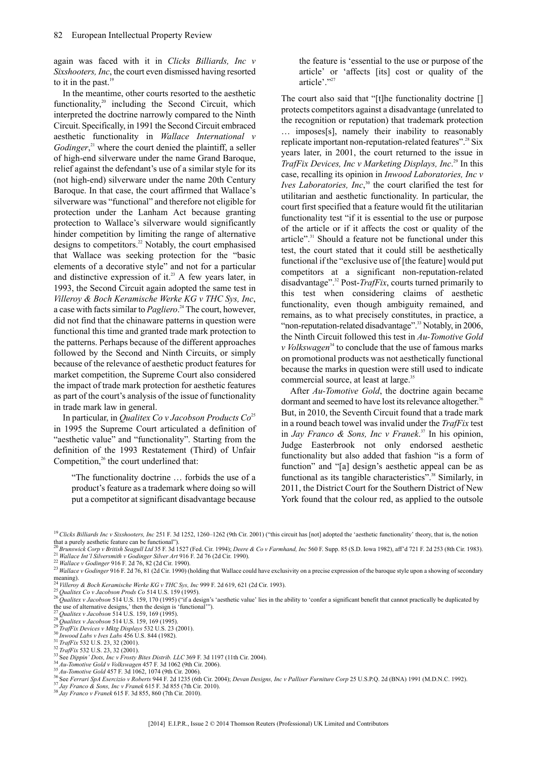again was faced with it in *Clicks Billiards, Inc v Sixshooters, Inc*, the court even dismissed having resorted to it in the past. $19$ 

In the meantime, other courts resorted to the aesthetic functionality, $20$  including the Second Circuit, which interpreted the doctrine narrowly compared to the Ninth Circuit. Specifically, in 1991 the Second Circuit embraced aesthetic functionality in *Wallace International v* Godinger,<sup>21</sup> where the court denied the plaintiff, a seller of high-end silverware under the name Grand Baroque, relief against the defendant's use of a similar style for its (not high-end) silverware under the name 20th Century Baroque. In that case, the court affirmed that Wallace's silverware was "functional" and therefore not eligible for protection under the Lanham Act because granting protection to Wallace's silverware would significantly hinder competition by limiting the range of alternative designs to competitors.<sup>22</sup> Notably, the court emphasised that Wallace was seeking protection for the "basic elements of a decorative style" and not for a particular and distinctive expression of it.<sup>23</sup> A few years later, in 1993, the Second Circuit again adopted the same test in *Villeroy & Boch Keramische Werke KG v THC Sys, Inc*, a case with facts similar to *Pagliero*. <sup>24</sup> The court, however, did not find that the chinaware patterns in question were functional this time and granted trade mark protection to the patterns. Perhaps because of the different approaches followed by the Second and Ninth Circuits, or simply because of the relevance of aesthetic product features for market competition, the Supreme Court also considered the impact of trade mark protection for aesthetic features as part of the court's analysis of the issue of functionality in trade mark law in general.

In particular, in *Qualitex Co v Jacobson Products Co*<sup>25</sup> in 1995 the Supreme Court articulated a definition of "aesthetic value" and "functionality". Starting from the definition of the 1993 Restatement (Third) of Unfair Competition, $26$  the court underlined that:

"The functionality doctrine … forbids the use of a product's feature as a trademark where doing so will put a competitor at significant disadvantage because

the feature is 'essential to the use or purpose of the article' or 'affects [its] cost or quality of the article'."27

The court also said that "[t]he functionality doctrine [] protects competitors against a disadvantage (unrelated to the recognition or reputation) that trademark protection … imposes[s], namely their inability to reasonably replicate important non-reputation-related features".<sup>28</sup> Six years later, in 2001, the court returned to the issue in *TrafFix Devices, Inc v Marketing Displays, Inc*. <sup>29</sup> In this case, recalling its opinion in *Inwood Laboratories, Inc v Ives Laboratories, Inc*,<sup>30</sup> the court clarified the test for utilitarian and aesthetic functionality. In particular, the court first specified that a feature would fit the utilitarian functionality test "if it is essential to the use or purpose of the article or if it affects the cost or quality of the article".<sup>31</sup> Should a feature not be functional under this test, the court stated that it could still be aesthetically functional if the "exclusive use of [the feature] would put competitors at a significant non-reputation-related disadvantage".<sup>32</sup> Post-*TrafFix*, courts turned primarily to this test when considering claims of aesthetic functionality, even though ambiguity remained, and remains, as to what precisely constitutes, in practice, a "non-reputation-related disadvantage".<sup>33</sup> Notably, in 2006, the Ninth Circuit followed this test in *Au-Tomotive Gold v Volkswagen*<sup>34</sup> to conclude that the use of famous marks on promotional products was not aesthetically functional because the marks in question were still used to indicate commercial source, at least at large.<sup>35</sup>

After *Au-Tomotive Gold*, the doctrine again became dormant and seemed to have lost its relevance altogether.<sup>36</sup> But, in 2010, the Seventh Circuit found that a trade mark in a round beach towel was invalid under the*TrafFix* test in *Jay Franco & Sons, Inc v Franek*. <sup>37</sup> In his opinion, Judge Easterbrook not only endorsed aesthetic functionality but also added that fashion "is a form of function" and "[a] design's aesthetic appeal can be as functional as its tangible characteristics".<sup>38</sup> Similarly, in 2011, the District Court for the Southern District of New York found that the colour red, as applied to the outsole

<sup>35</sup> *Au-Tomotive Gold* 457 F. 3d 1062, 1074 (9th Cir. 2006).

<sup>&</sup>lt;sup>19</sup> Clicks Billiards Inc v Sixshooters, Inc 251 F. 3d 1252, 1260–1262 (9th Cir. 2001) ("this circuit has [not] adopted the 'aesthetic functionality' theory, that is, the notion that a purely aesthetic feature can be functional").

<sup>20</sup>*Brunswick Corp v British Seagull Ltd* 35 F. 3d 1527 (Fed. Cir. 1994); *Deere & Co v Farmhand, Inc* 560 F. Supp. 85 (S.D. Iowa 1982), aff'd 721 F. 2d 253 (8th Cir. 1983). <sup>21</sup> *Wallace Int'l Silversmith v Godinger Silver Art* 916 F. 2d 76 (2d Cir. 1990).

<sup>22</sup> *Wallace v Godinger* 916 F. 2d 76, 82 (2d Cir. 1990).

<sup>&</sup>lt;sup>23</sup> *Wallace v Godinger* 916 F. 2d 76, 81 (2d Cir. 1990) (holding that Wallace could have exclusivity on a precise expression of the baroque style upon a showing of secondary meaning). <sup>24</sup> *Villeroy & Boch Keramische Werke KG v THC Sys, Inc* 999 F. 2d 619, 621 (2d Cir. 1993).

<sup>25</sup> *Qualitex Co v Jacobson Prods Co* 514 U.S. 159 (1995).

*Let all the v Jacobson 1100s* Co 314 U.S. 159, 170 (1995). ("if a design's 'aesthetic value' lies in the ability to 'confer a significant benefit that cannot practically be duplicated by *be duplicated by* the use of alternative designs,' then the design is 'functional'").

<sup>27</sup> *Qualitex v Jacobson* 514 U.S. 159, 169 (1995).

<sup>28</sup> *Qualitex v Jacobson* 514 U.S. 159, 169 (1995). <sup>29</sup> *TrafFix Devices v Mktg Displays* 532 U.S. 23 (2001).

<sup>30</sup> *Inwood Labs v Ives Labs* 456 U.S. 844 (1982).

<sup>31</sup> *TrafFix* 532 U.S. 23, 32 (2001).

<sup>32</sup> *TrafFix* 532 U.S. 23, 32 (2001).

 $33$  See *Dippin' Dots, Inc v Frosty Bites Distrib. LLC* 369 F. 3d 1197 (11th Cir. 2004).

<sup>34</sup> *Au-Tomotive Gold v Volkswagen* 457 F. 3d 1062 (9th Cir. 2006).

<sup>36</sup> See *Ferrari SpA Esercizio v Roberts* 944 F. 2d 1235 (6th Cir. 2004); *Devan Designs, Inc v Palliser Furniture Corp* 25 U.S.P.Q. 2d (BNA) 1991 (M.D.N.C. 1992).

<sup>37</sup> *Jay Franco & Sons, Inc v Franek* 615 F. 3d 855 (7th Cir. 2010).

<sup>38</sup> *Jay Franco v Franek* 615 F. 3d 855, 860 (7th Cir. 2010).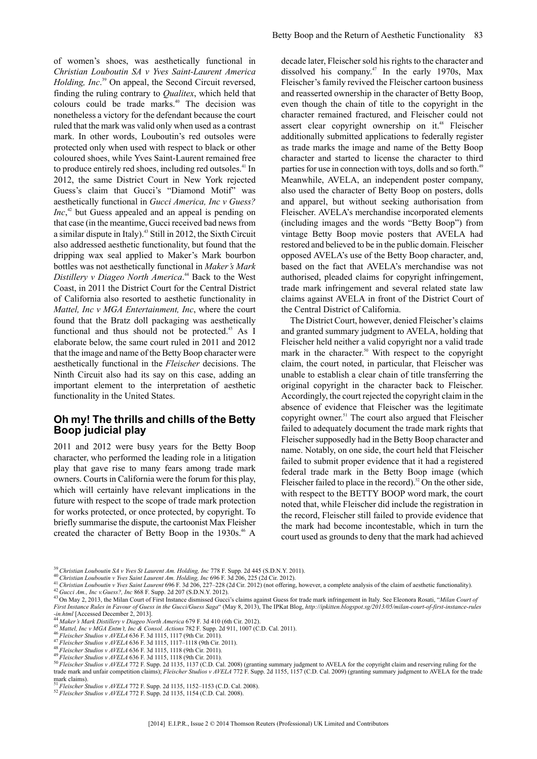of women's shoes, was aesthetically functional in *Christian Louboutin SA v Yves Saint-Laurent America Holding, Inc*. <sup>39</sup> On appeal, the Second Circuit reversed, finding the ruling contrary to *Qualitex*, which held that colours could be trade marks.<sup>40</sup> The decision was nonetheless a victory for the defendant because the court ruled that the mark was valid only when used as a contrast mark. In other words, Louboutin's red outsoles were protected only when used with respect to black or other coloured shoes, while Yves Saint-Laurent remained free to produce entirely red shoes, including red outsoles.<sup>41</sup> In 2012, the same District Court in New York rejected Guess's claim that Gucci's "Diamond Motif" was aesthetically functional in *Gucci America, Inc v Guess? Inc*,<sup>42</sup> but Guess appealed and an appeal is pending on that case (in the meantime, Gucci received bad news from a similar dispute in Italy).<sup>43</sup> Still in 2012, the Sixth Circuit also addressed aesthetic functionality, but found that the dripping wax seal applied to Maker's Mark bourbon bottles was not aesthetically functional in *Maker's Mark Distillery v Diageo North America*. <sup>44</sup> Back to the West Coast, in 2011 the District Court for the Central District of California also resorted to aesthetic functionality in *Mattel, Inc v MGA Entertainment, Inc*, where the court found that the Bratz doll packaging was aesthetically functional and thus should not be protected.<sup>45</sup> As I elaborate below, the same court ruled in 2011 and 2012 that the image and name of the Betty Boop character were aesthetically functional in the *Fleischer* decisions. The Ninth Circuit also had its say on this case, adding an important element to the interpretation of aesthetic functionality in the United States.

#### **Oh my! The thrills and chills of the Betty Boop judicial play**

2011 and 2012 were busy years for the Betty Boop character, who performed the leading role in a litigation play that gave rise to many fears among trade mark owners. Courts in California were the forum for this play, which will certainly have relevant implications in the future with respect to the scope of trade mark protection for works protected, or once protected, by copyright. To briefly summarise the dispute, the cartoonist Max Fleisher created the character of Betty Boop in the 1930s.<sup>46</sup> A

decade later, Fleischer sold his rights to the character and dissolved his company.<sup>47</sup> In the early 1970s, Max Fleischer's family revived the Fleischer cartoon business and reasserted ownership in the character of Betty Boop, even though the chain of title to the copyright in the character remained fractured, and Fleischer could not assert clear copyright ownership on it.<sup>48</sup> Fleischer additionally submitted applications to federally register as trade marks the image and name of the Betty Boop character and started to license the character to third parties for use in connection with toys, dolls and so forth.<sup>49</sup> Meanwhile, AVELA, an independent poster company, also used the character of Betty Boop on posters, dolls and apparel, but without seeking authorisation from Fleischer. AVELA's merchandise incorporated elements (including images and the words "Betty Boop") from vintage Betty Boop movie posters that AVELA had restored and believed to be in the public domain. Fleischer opposed AVELA's use of the Betty Boop character, and, based on the fact that AVELA's merchandise was not authorised, pleaded claims for copyright infringement, trade mark infringement and several related state law claims against AVELA in front of the District Court of the Central District of California.

The District Court, however, denied Fleischer's claims and granted summary judgment to AVELA, holding that Fleischer held neither a valid copyright nor a valid trade mark in the character.<sup>50</sup> With respect to the copyright claim, the court noted, in particular, that Fleischer was unable to establish a clear chain of title transferring the original copyright in the character back to Fleischer. Accordingly, the court rejected the copyright claim in the absence of evidence that Fleischer was the legitimate copyright owner.<sup>51</sup> The court also argued that Fleischer failed to adequately document the trade mark rights that Fleischer supposedly had in the Betty Boop character and name. Notably, on one side, the court held that Fleischer failed to submit proper evidence that it had a registered federal trade mark in the Betty Boop image (which Fleischer failed to place in the record).<sup>52</sup> On the other side, with respect to the BETTY BOOP word mark, the court noted that, while Fleischer did include the registration in the record, Fleischer still failed to provide evidence that the mark had become incontestable, which in turn the court used as grounds to deny that the mark had achieved

<sup>41</sup> *Christian Louboutin v Yves Saint Laurent* 696 F. 3d 206, 227–228 (2d Cir. 2012) (not offering, however, a complete analysis of the claim of aesthetic functionality).

mark claims). <sup>51</sup> *Fleischer Studios v AVELA* 772 F. Supp. 2d 1135, 1152–1153 (C.D. Cal. 2008).

<sup>39</sup> *Christian Louboutin SA v Yves St Laurent Am. Holding, Inc* 778 F. Supp. 2d 445 (S.D.N.Y. 2011).

<sup>40</sup> *Christian Louboutin v Yves Saint Laurent Am. Holding, Inc* 696 F. 3d 206, 225 (2d Cir. 2012).

<sup>42</sup> *Gucci Am., Inc v.Guess?, Inc* 868 F. Supp. 2d 207 (S.D.N.Y. 2012).

<sup>43</sup> On May 2, 2013, the Milan Court of First Instance dismissed Gucci's claims against Guess for trade mark infringement in Italy. See Eleonora Rosati, "*Milan Court of* 43 On May 2, 2013, the Milan Court of *First Instance Rules in Favour of Guess in the Gucci/Guess Saga*" (May 8, 2013), The IPKat Blog, *http://ipkitten.blogspot.sg/2013/05/milan-court-of-first-instance-rules -in.html* [Accessed December 2, 2013].

<sup>44</sup> *Maker's Mark Distillery v Diageo North America* 679 F. 3d 410 (6th Cir. 2012).

<sup>45</sup> *Mattel, Inc v MGA Entm't, Inc & Consol. Actions* 782 F. Supp. 2d 911, 1007 (C.D. Cal. 2011).

<sup>46</sup> *Fleischer Studios v AVELA* 636 F. 3d 1115, 1117 (9th Cir. 2011).

<sup>47</sup> *Fleischer Studios v AVELA* 636 F. 3d 1115, 1117–1118 (9th Cir. 2011).

<sup>48</sup> *Fleischer Studios v AVELA* 636 F. 3d 1115, 1118 (9th Cir. 2011).

<sup>49</sup> *Fleischer Studios v AVELA* 636 F. 3d 1115, 1118 (9th Cir. 2011).

<sup>50</sup> *Fleischer Studios v AVELA* 772 F. Supp. 2d 1135, 1137 (C.D. Cal. 2008) (granting summary judgment to AVELA for the copyright claim and reserving ruling for the trade mark and unfair competition claims); *Fleischer Studios v AVELA* 772 F. Supp. 2d 1155, 1157 (C.D. Cal. 2009) (granting summary judgment to AVELA for the trade

<sup>52</sup> *Fleischer Studios v AVELA* 772 F. Supp. 2d 1135, 1154 (C.D. Cal. 2008).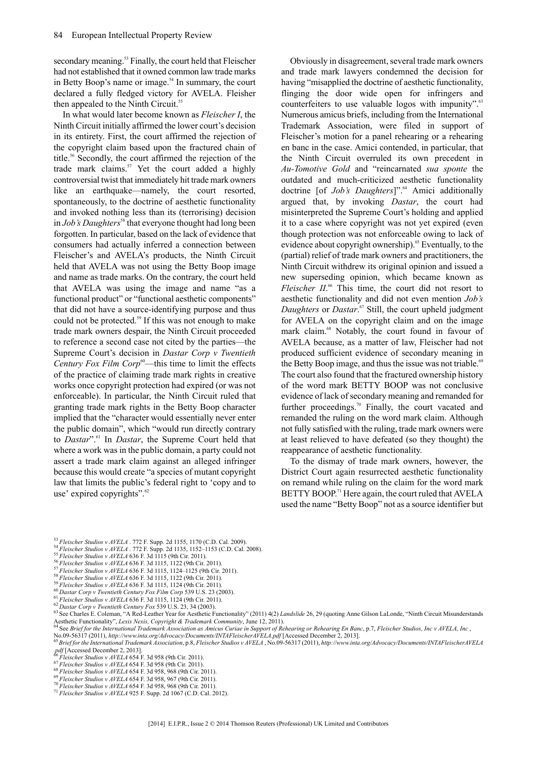secondary meaning.<sup>53</sup> Finally, the court held that Fleischer had not established that it owned common law trade marks in Betty Boop's name or image. $54$  In summary, the court declared a fully fledged victory for AVELA. Fleisher then appealed to the Ninth Circuit.<sup>55</sup>

In what would later become known as *Fleischer I*, the Ninth Circuit initially affirmed the lower court's decision in its entirety. First, the court affirmed the rejection of the copyright claim based upon the fractured chain of title.<sup>56</sup> Secondly, the court affirmed the rejection of the trade mark claims.<sup>57</sup> Yet the court added a highly controversial twist that immediately hit trade mark owners like an earthquake—namely, the court resorted, spontaneously, to the doctrine of aesthetic functionality and invoked nothing less than its (terrorising) decision in *Job's Daughters*<sup>58</sup> that everyone thought had long been forgotten. In particular, based on the lack of evidence that consumers had actually inferred a connection between Fleischer's and AVELA's products, the Ninth Circuit held that AVELA was not using the Betty Boop image and name as trade marks. On the contrary, the court held that AVELA was using the image and name "as a functional product" or "functional aesthetic components" that did not have a source-identifying purpose and thus could not be protected. $59$  If this was not enough to make trade mark owners despair, the Ninth Circuit proceeded to reference a second case not cited by the parties—the Supreme Court's decision in *Dastar Corp v Twentieth Century Fox Film Corp*<sup>60</sup>—this time to limit the effects of the practice of claiming trade mark rights in creative works once copyright protection had expired (or was not enforceable). In particular, the Ninth Circuit ruled that granting trade mark rights in the Betty Boop character implied that the "character would essentially never enter the public domain", which "would run directly contrary to *Dastar*".<sup>61</sup> In *Dastar*, the Supreme Court held that where a work was in the public domain, a party could not assert a trade mark claim against an alleged infringer because this would create "a species of mutant copyright law that limits the public's federal right to 'copy and to use' expired copyrights".<sup>62</sup>

Obviously in disagreement, several trade mark owners and trade mark lawyers condemned the decision for having "misapplied the doctrine of aesthetic functionality, flinging the door wide open for infringers and counterfeiters to use valuable logos with impunity".<sup>63</sup> Numerous amicus briefs, including from the International Trademark Association, were filed in support of Fleischer's motion for a panel rehearing or a rehearing en banc in the case. Amici contended, in particular, that the Ninth Circuit overruled its own precedent in *Au-Tomotive Gold* and "reincarnated *sua sponte* the outdated and much-criticized aesthetic functionality doctrine [of *Job's Daughters*]".<sup>64</sup> Amici additionally argued that, by invoking *Dastar*, the court had misinterpreted the Supreme Court's holding and applied it to a case where copyright was not yet expired (even though protection was not enforceable owing to lack of evidence about copyright ownership).<sup>65</sup> Eventually, to the (partial) relief of trade mark owners and practitioners, the Ninth Circuit withdrew its original opinion and issued a new superseding opinion, which became known as *Fleischer II*.<sup>66</sup> This time, the court did not resort to aesthetic functionality and did not even mention *Job's Daughters* or *Dastar*. <sup>67</sup> Still, the court upheld judgment for AVELA on the copyright claim and on the image mark claim.<sup>68</sup> Notably, the court found in favour of AVELA because, as a matter of law, Fleischer had not produced sufficient evidence of secondary meaning in the Betty Boop image, and thus the issue was not triable.<sup>69</sup> The court also found that the fractured ownership history of the word mark BETTY BOOP was not conclusive evidence of lack of secondary meaning and remanded for further proceedings.<sup>70</sup> Finally, the court vacated and remanded the ruling on the word mark claim. Although not fully satisfied with the ruling, trade mark owners were at least relieved to have defeated (so they thought) the reappearance of aesthetic functionality.

To the dismay of trade mark owners, however, the District Court again resurrected aesthetic functionality on remand while ruling on the claim for the word mark BETTY BOOP.<sup>71</sup> Here again, the court ruled that AVELA used the name "Betty Boop" not as a source identifier but

- <sup>53</sup> *Fleischer Studios v AVELA* . 772 F. Supp. 2d 1155, 1170 (C.D. Cal. 2009).
- <sup>54</sup> *Fleischer Studios v AVELA* . 772 F. Supp. 2d 1135, 1152–1153 (C.D. Cal. 2008).
- <sup>55</sup> *Fleischer Studios v AVELA* 636 F. 3d 1115 (9th Cir. 2011).
- <sup>56</sup> *Fleischer Studios v AVELA* 636 F. 3d 1115, 1122 (9th Cir. 2011).
- <sup>57</sup> *Fleischer Studios v AVELA* 636 F. 3d 1115, 1124–1125 (9th Cir. 2011). <sup>58</sup> *Fleischer Studios v AVELA* 636 F. 3d 1115, 1122 (9th Cir. 2011).
- <sup>59</sup> *Fleischer Studios v AVELA* 636 F. 3d 1115, 1124 (9th Cir. 2011).
- <sup>60</sup> *Dastar Corp v Twentieth Century Fox Film Corp* 539 U.S. 23 (2003).
- <sup>61</sup> *Fleischer Studios v AVELA* 636 F. 3d 1115, 1124 (9th Cir. 2011).
- <sup>62</sup> *Dastar Corp v Twentieth Century Fox* 539 U.S. 23, 34 (2003).

- <sup>66</sup> *Fleischer Studios v AVELA* 654 F. 3d 958 (9th Cir. 2011).
- <sup>67</sup> *Fleischer Studios v AVELA* 654 F. 3d 958 (9th Cir. 2011).
- <sup>68</sup> *Fleischer Studios v AVELA* 654 F. 3d 958, 968 (9th Cir. 2011).
- <sup>69</sup> *Fleischer Studios v AVELA* 654 F. 3d 958, 967 (9th Cir. 2011).
- <sup>70</sup> *Fleischer Studios v AVELA* 654 F. 3d 958, 968 (9th Cir. 2011). <sup>71</sup> *Fleischer Studios v AVELA* 925 F. Supp. 2d 1067 (C.D. Cal. 2012).

<sup>63</sup> See Charles E. Coleman, "A Red-Leather Year for Aesthetic Functionality" (2011) 4(2) *Landslide* 26, 29 (quoting Anne Gilson LaLonde, "Ninth Circuit Misunderstands Aesthetic Functionality", Lexis Nexis, Copyright & Trademark Community, June 12, 2011).<br><sup>64</sup> See Brief for the International Trademark Association as Amicus Curiae in Support of Rehearing or Rehearing En Banc, p.7, Fleisch

No.09-56317 (2011), http://www.inta.org/Advocacy/Documents/INTAFleischerAVELA.pdf [Accessed December 2, 2013].<br><sup>65</sup> Brief for the International Trademark Association, p.8, Fleischer Studios v AVELA , No.09-56317 (2011), ht *pdf* [Accessed December 2, 2013].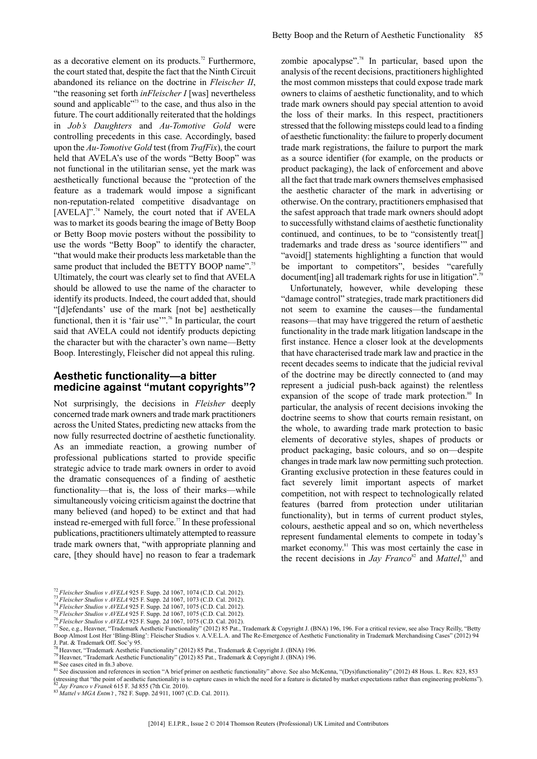as a decorative element on its products.<sup>72</sup> Furthermore, the court stated that, despite the fact that the Ninth Circuit abandoned its reliance on the doctrine in *Fleischer II*, "the reasoning set forth *inFleischer I* [was] nevertheless sound and applicable"<sup>73</sup> to the case, and thus also in the future. The court additionally reiterated that the holdings in *Job's Daughters* and *Au-Tomotive Gold* were controlling precedents in this case. Accordingly, based upon the *Au-Tomotive Gold* test (from *TrafFix*), the court held that AVELA's use of the words "Betty Boop" was not functional in the utilitarian sense, yet the mark was aesthetically functional because the "protection of the feature as a trademark would impose a significant non-reputation-related competitive disadvantage on [AVELA]".<sup>74</sup> Namely, the court noted that if AVELA was to market its goods bearing the image of Betty Boop or Betty Boop movie posters without the possibility to use the words "Betty Boop" to identify the character, "that would make their products less marketable than the same product that included the BETTY BOOP name".<sup>75</sup> Ultimately, the court was clearly set to find that AVELA should be allowed to use the name of the character to identify its products. Indeed, the court added that, should "[d]efendants' use of the mark [not be] aesthetically functional, then it is 'fair use'".<sup>76</sup> In particular, the court said that AVELA could not identify products depicting the character but with the character's own name—Betty Boop. Interestingly, Fleischer did not appeal this ruling.

#### **Aesthetic functionality—a bitter medicine against "mutant copyrights"?**

Not surprisingly, the decisions in *Fleisher* deeply concerned trade mark owners and trade mark practitioners across the United States, predicting new attacks from the now fully resurrected doctrine of aesthetic functionality. As an immediate reaction, a growing number of professional publications started to provide specific strategic advice to trade mark owners in order to avoid the dramatic consequences of a finding of aesthetic functionality—that is, the loss of their marks—while simultaneously voicing criticism against the doctrine that many believed (and hoped) to be extinct and that had instead re-emerged with full force.<sup>77</sup> In these professional publications, practitioners ultimately attempted to reassure trade mark owners that, "with appropriate planning and care, [they should have] no reason to fear a trademark

zombie apocalypse".<sup>78</sup> In particular, based upon the analysis of the recent decisions, practitioners highlighted the most common missteps that could expose trade mark owners to claims of aesthetic functionality, and to which trade mark owners should pay special attention to avoid the loss of their marks. In this respect, practitioners stressed that the following missteps could lead to a finding of aesthetic functionality: the failure to properly document trade mark registrations, the failure to purport the mark as a source identifier (for example, on the products or product packaging), the lack of enforcement and above all the fact that trade mark owners themselves emphasised the aesthetic character of the mark in advertising or otherwise. On the contrary, practitioners emphasised that the safest approach that trade mark owners should adopt to successfully withstand claims of aesthetic functionality continued, and continues, to be to "consistently treat[] trademarks and trade dress as 'source identifiers'" and "avoid[] statements highlighting a function that would be important to competitors", besides "carefully document[ing] all trademark rights for use in litigation".<sup>7</sup>

Unfortunately, however, while developing these "damage control" strategies, trade mark practitioners did not seem to examine the causes—the fundamental reasons—that may have triggered the return of aesthetic functionality in the trade mark litigation landscape in the first instance. Hence a closer look at the developments that have characterised trade mark law and practice in the recent decades seems to indicate that the judicial revival of the doctrine may be directly connected to (and may represent a judicial push-back against) the relentless expansion of the scope of trade mark protection. $80$  In particular, the analysis of recent decisions invoking the doctrine seems to show that courts remain resistant, on the whole, to awarding trade mark protection to basic elements of decorative styles, shapes of products or product packaging, basic colours, and so on—despite changes in trade mark law now permitting such protection. Granting exclusive protection in these features could in fact severely limit important aspects of market competition, not with respect to technologically related features (barred from protection under utilitarian functionality), but in terms of current product styles, colours, aesthetic appeal and so on, which nevertheless represent fundamental elements to compete in today's market economy.<sup>81</sup> This was most certainly the case in the recent decisions in *Jay Franco*<sup>82</sup> and *Mattel*<sup>83</sup>, and

J. Pat. & Trademark Off. Soc'y 95.<br><sup>78</sup> Heavner, "Trademark Aesthetic Functionality" (2012) 85 Pat., Trademark & Copyright J. (BNA) 196.

81 See discussion and references in section "A brief primer on aesthetic functionality" above. See also McKenna, "(Dys)functionality" (2012) 48 Hous. L. Rev. 823, 853 (stressing that "the point of aesthetic functionality is to capture cases in which the need for a feature is dictated by market expectations rather than engineering problems").<br><sup>82</sup> Jay Franco v Franek 615 F. 3d 855 (7th C

<sup>72</sup> *Fleischer Studios v AVELA* 925 F. Supp. 2d 1067, 1074 (C.D. Cal. 2012).

<sup>73</sup> *Fleischer Studios v AVELA* 925 F. Supp. 2d 1067, 1073 (C.D. Cal. 2012).

<sup>74</sup> *Fleischer Studios v AVELA* 925 F. Supp. 2d 1067, 1075 (C.D. Cal. 2012).

<sup>75</sup> *Fleischer Studios v AVELA* 925 F. Supp. 2d 1067, 1075 (C.D. Cal. 2012). <sup>76</sup> *Fleischer Studios v AVELA* 925 F. Supp. 2d 1067, 1075 (C.D. Cal. 2012).

<sup>77</sup> See, e.g., Heavner, "Trademark Aesthetic Functionality" (2012) 85 Pat., Trademark & Copyright J. (BNA) 196, 196. For a critical review, see also Tracy Reilly, "Betty Boop Almost Lost Her 'Bling-Bling': Fleischer Studios v. A.V.E.L.A. and The Re-Emergence of Aesthetic Functionality in Trademark Merchandising Cases" (2012) 94

<sup>&</sup>lt;sup>79</sup> Heavner, "Trademark Aesthetic Functionality" (2012) 85 Pat., Trademark & Copyright J. (BNA) 196.

<sup>&</sup>lt;sup>80</sup> See cases cited in fn.3 above.

<sup>83</sup> *Mattel v MGA Entm't* , 782 F. Supp. 2d 911, 1007 (C.D. Cal. 2011).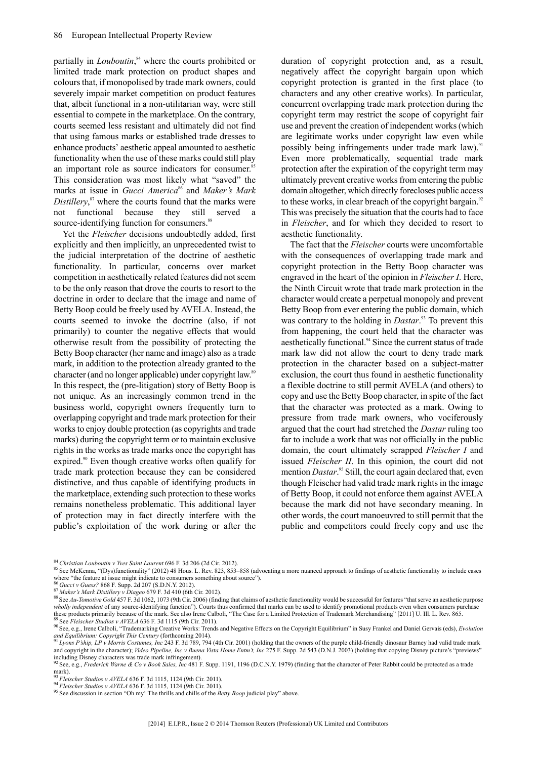partially in *Louboutin*, <sup>84</sup> where the courts prohibited or limited trade mark protection on product shapes and colours that, if monopolised by trade mark owners, could severely impair market competition on product features that, albeit functional in a non-utilitarian way, were still essential to compete in the marketplace. On the contrary, courts seemed less resistant and ultimately did not find that using famous marks or established trade dresses to enhance products' aesthetic appeal amounted to aesthetic functionality when the use of these marks could still play an important role as source indicators for consumer.<sup>85</sup> This consideration was most likely what "saved" the marks at issue in *Gucci America*<sup>86</sup> and *Maker's Mark Distillery*, <sup>87</sup> where the courts found that the marks were not functional because they still served a source-identifying function for consumers.<sup>88</sup>

Yet the *Fleischer* decisions undoubtedly added, first explicitly and then implicitly, an unprecedented twist to the judicial interpretation of the doctrine of aesthetic functionality. In particular, concerns over market competition in aesthetically related features did not seem to be the only reason that drove the courts to resort to the doctrine in order to declare that the image and name of Betty Boop could be freely used by AVELA. Instead, the courts seemed to invoke the doctrine (also, if not primarily) to counter the negative effects that would otherwise result from the possibility of protecting the Betty Boop character (her name and image) also as a trade mark, in addition to the protection already granted to the character (and no longer applicable) under copyright law.<sup>89</sup> In this respect, the (pre-litigation) story of Betty Boop is not unique. As an increasingly common trend in the business world, copyright owners frequently turn to overlapping copyright and trade mark protection for their works to enjoy double protection (as copyrights and trade marks) during the copyright term or to maintain exclusive rights in the works as trade marks once the copyright has expired.<sup>90</sup> Even though creative works often qualify for trade mark protection because they can be considered distinctive, and thus capable of identifying products in the marketplace, extending such protection to these works remains nonetheless problematic. This additional layer of protection may in fact directly interfere with the public's exploitation of the work during or after the

duration of copyright protection and, as a result, negatively affect the copyright bargain upon which copyright protection is granted in the first place (to characters and any other creative works). In particular, concurrent overlapping trade mark protection during the copyright term may restrict the scope of copyright fair use and prevent the creation of independent works (which are legitimate works under copyright law even while possibly being infringements under trade mark law).<sup>91</sup> Even more problematically, sequential trade mark protection after the expiration of the copyright term may ultimately prevent creative works from entering the public domain altogether, which directly forecloses public access to these works, in clear breach of the copyright bargain.<sup>92</sup> This was precisely the situation that the courts had to face in *Fleischer*, and for which they decided to resort to aesthetic functionality.

The fact that the *Fleischer* courts were uncomfortable with the consequences of overlapping trade mark and copyright protection in the Betty Boop character was engraved in the heart of the opinion in *Fleischer I*. Here, the Ninth Circuit wrote that trade mark protection in the character would create a perpetual monopoly and prevent Betty Boop from ever entering the public domain, which was contrary to the holding in *Dastar*.<sup>93</sup> To prevent this from happening, the court held that the character was aesthetically functional.<sup>94</sup> Since the current status of trade mark law did not allow the court to deny trade mark protection in the character based on a subject-matter exclusion, the court thus found in aesthetic functionality a flexible doctrine to still permit AVELA (and others) to copy and use the Betty Boop character, in spite of the fact that the character was protected as a mark. Owing to pressure from trade mark owners, who vociferously argued that the court had stretched the *Dastar* ruling too far to include a work that was not officially in the public domain, the court ultimately scrapped *Fleischer I* and issued *Fleischer II*. In this opinion, the court did not mention *Dastar*.<sup>95</sup> Still, the court again declared that, even though Fleischer had valid trade mark rights in the image of Betty Boop, it could not enforce them against AVELA because the mark did not have secondary meaning. In other words, the court manoeuvred to still permit that the public and competitors could freely copy and use the

<sup>86</sup> *Gucci v Guess?* 868 F. Supp. 2d 207 (S.D.N.Y. 2012).

<sup>84</sup> *Christian Louboutin v Yves Saint Laurent* 696 F. 3d 206 (2d Cir. 2012).

 $\frac{85}{85}$  See McKenna, "(Dys)functionality" (2012) 48 Hous. L. Rev. 823, 853–858 (advocating a more nuanced approach to findings of aesthetic functionality to include cases where "the feature at issue might indicate to consumers something about source").

<sup>87</sup> *Maker's Mark Distillery v Diageo* 679 F. 3d 410 (6th Cir. 2012).

<sup>88</sup> See *Au-Tomotive Gold* 457 F. 3d 1062, 1073 (9th Cir. 2006) (finding that claims of aesthetic functionality would be successful for features "that serve an aesthetic purpose wholly independent of any source-identifying function"). Courts thus confirmed that marks can be used to identify promotional products even when consumers purchase these products primarily because of the mark. See also Irene Calboli, "The Case for a Limited Protection of Trademark Merchandising" [2011] U. Ill. L. Rev. 865. <sup>89</sup> See *Fleischer Studios v AVELA* 636 F. 3d 1115 (9th Cir. 2011).

<sup>90</sup> See, e.g., Irene Calboli, "Trademarking Creative Works: Trends and Negative Effects on the Copyright Equilibrium" in Susy Frankel and Daniel Gervais (eds), *Evolution and Equilibrium: Copyright This Century* (forthcoming 2014).

<sup>91</sup> *Lyons P'ship, LP v Morris Costumes, Inc* 243 F. 3d 789, 794 (4th Cir. 2001) (holding that the owners of the purple child-friendly dinosaur Barney had valid trade mark and copyright in the character); *Video Pipeline, Inc v Buena Vista Home Entm't, Inc* 275 F. Supp. 2d 543 (D.N.J. 2003) (holding that copying Disney picture's "previews" including Disney characters was trade mark infringement).

<sup>92</sup> See, e.g., *Frederick Warne & Co v Book Sales, Inc* 481 F. Supp. 1191, 1196 (D.C.N.Y. 1979) (finding that the character of Peter Rabbit could be protected as a trade mark).

<sup>93</sup> *Fleischer Studios v AVELA* 636 F. 3d 1115, 1124 (9th Cir. 2011).

<sup>94</sup> *Fleischer Studios v AVELA* 636 F. 3d 1115, 1124 (9th Cir. 2011).

<sup>&</sup>lt;sup>95</sup> See discussion in section "Oh my! The thrills and chills of the *Betty Boop* judicial play" above.